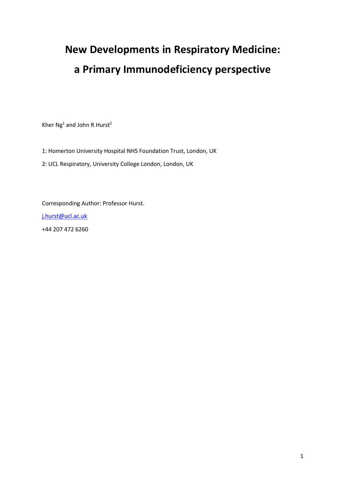# **New Developments in Respiratory Medicine: a Primary Immunodeficiency perspective**

Kher  $Ng<sup>1</sup>$  and John R Hurst<sup>2</sup>

1: Homerton University Hospital NHS Foundation Trust, London, UK

2: UCL Respiratory, University College London, London, UK

Corresponding Author: Professor Hurst. j.hurst@ucl.ac.uk +44 207 472 6260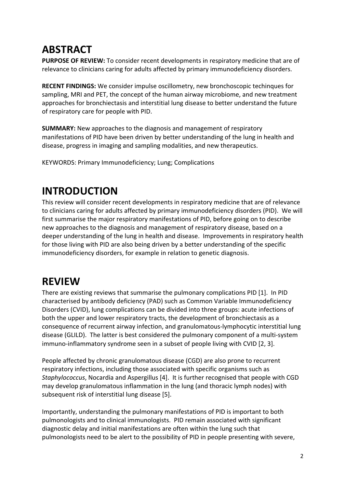# **ABSTRACT**

**PURPOSE OF REVIEW:** To consider recent developments in respiratory medicine that are of relevance to clinicians caring for adults affected by primary immunodeficiency disorders.

**RECENT FINDINGS:** We consider impulse oscillometry, new bronchoscopic techinques for sampling, MRI and PET, the concept of the human airway microbiome, and new treatment approaches for bronchiectasis and interstitial lung disease to better understand the future of respiratory care for people with PID.

**SUMMARY:** New approaches to the diagnosis and management of respiratory manifestations of PID have been driven by better understanding of the lung in health and disease, progress in imaging and sampling modalities, and new therapeutics.

KEYWORDS: Primary Immunodeficiency; Lung; Complications

## **INTRODUCTION**

This review will consider recent developments in respiratory medicine that are of relevance to clinicians caring for adults affected by primary immunodeficiency disorders (PID). We will first summarise the major respiratory manifestations of PID, before going on to describe new approaches to the diagnosis and management of respiratory disease, based on a deeper understanding of the lung in health and disease. Improvements in respiratory health for those living with PID are also being driven by a better understanding of the specific immunodeficiency disorders, for example in relation to genetic diagnosis.

# **REVIEW**

There are existing reviews that summarise the pulmonary complications PID [1]. In PID characterised by antibody deficiency (PAD) such as Common Variable Immunodeficiency Disorders (CVID), lung complications can be divided into three groups: acute infections of both the upper and lower respiratory tracts, the development of bronchiectasis as a consequence of recurrent airway infection, and granulomatous-lymphocytic interstitial lung disease (GLILD). The latter is best considered the pulmonary component of a multi-system immuno-inflammatory syndrome seen in a subset of people living with CVID [2, 3].

People affected by chronic granulomatous disease (CGD) are also prone to recurrent respiratory infections, including those associated with specific organisms such as *Staphylococcus*, Nocardia and Aspergillus [4]. It is further recognised that people with CGD may develop granulomatous inflammation in the lung (and thoracic lymph nodes) with subsequent risk of interstitial lung disease [5].

Importantly, understanding the pulmonary manifestations of PID is important to both pulmonologists and to clinical immunologists. PID remain associated with significant diagnostic delay and initial manifestations are often within the lung such that pulmonologists need to be alert to the possibility of PID in people presenting with severe,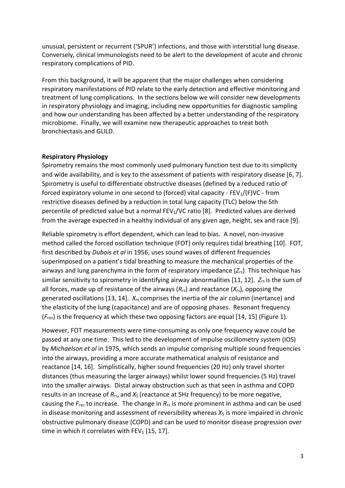unusual, persistent or recurrent ('SPUR') infections, and those with interstitial lung disease. Conversely, clinical immunologists need to be alert to the development of acute and chronic respiratory complications of PID.

From this background, it will be apparent that the major challenges when considering respiratory manifestations of PID relate to the early detection and effective monitoring and treatment of lung complications. In the sections below we will consider new developments in respiratory physiology and imaging, including new opportunities for diagnostic sampling and how our understanding has been affected by a better understanding of the respiratory microbiome. Finally, we will examine new therapeutic approaches to treat both bronchiectasis and GLILD.

### **Respiratory Physiology**

Spirometry remains the most commonly used pulmonary function test due to its simplicity and wide availability, and is key to the assessment of patients with respiratory disease [6, 7]. Spirometry is useful to differentiate obstructive diseases (defined by a reduced ratio of forced expiratory volume in one second to (forced) vital capacity -  $FEV_1/(F)VC$  - from restrictive diseases defined by a reduction in total lung capacity (TLC) below the 5th percentile of predicted value but a normal  $FEV<sub>1</sub>/VC$  ratio [8]. Predicted values are derived from the average expected in a healthy individual of any given age, height, sex and race [9].

Reliable spirometry is effort dependent, which can lead to bias. A novel, non-invasive method called the forced oscillation technique (FOT) only requires tidal breathing [10]. FOT, first described by *Dubois et al* in 1956, uses sound waves of different frequencies superimposed on a patient's tidal breathing to measure the mechanical properties of the airways and lung parenchyma in the form of respiratory impedance (*Z*rs). This technique has similar sensitivity to spirometry in identifying airway abnormalities [11, 12]. Z<sub>rs</sub> is the sum of all forces, made up of resistance of the airways (*R*rs) and reactance (*X*rs), opposing the generated oscillations [13, 14]. *X*rs comprises the inertia of the air column (inertance) and the elasticity of the lung (capacitance) and are of opposing phases. Resonant frequency (*F*res) is the frequency at which these two opposing factors are equal [14, 15] (Figure 1).

However, FOT measurements were time-consuming as only one frequency wave could be passed at any one time. This led to the development of impulse oscillometry system (IOS) by *Michaelson et al* in 1975, which sends an impulse comprising multiple sound frequencies into the airways, providing a more accurate mathematical analysis of resistance and reactance [14, 16]. Simplistically, higher sound frequencies (20 Hz) only travel shorter distances (thus measuring the larger airways) whilst lower sound frequencies (5 Hz) travel into the smaller airways. Distal airway obstruction such as that seen in asthma and COPD results in an increase of *R*rs, and *X*<sup>5</sup> (reactance at 5Hz frequency) to be more negative, causing the *F*res to increase. The change in *R*rs is more prominent in asthma and can be used in disease monitoring and assessment of reversibility whereas *X*<sup>5</sup> is more impaired in chronic obstructive pulmonary disease (COPD) and can be used to monitor disease progression over time in which it correlates with  $FEV<sub>1</sub>$  [15, 17].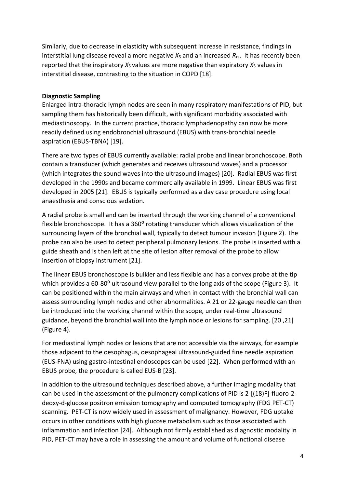Similarly, due to decrease in elasticity with subsequent increase in resistance, findings in interstitial lung disease reveal a more negative *X*<sup>5</sup> and an increased *R*rs. It has recently been reported that the inspiratory  $X_5$  values are more negative than expiratory  $X_5$  values in interstitial disease, contrasting to the situation in COPD [18].

### **Diagnostic Sampling**

Enlarged intra-thoracic lymph nodes are seen in many respiratory manifestations of PID, but sampling them has historically been difficult, with significant morbidity associated with mediastinoscopy. In the current practice, thoracic lymphadenopathy can now be more readily defined using endobronchial ultrasound (EBUS) with trans-bronchial needle aspiration (EBUS-TBNA) [19].

There are two types of EBUS currently available: radial probe and linear bronchoscope. Both contain a transducer (which generates and receives ultrasound waves) and a processor (which integrates the sound waves into the ultrasound images) [20]. Radial EBUS was first developed in the 1990s and became commercially available in 1999. Linear EBUS was first developed in 2005 [21]. EBUS is typically performed as a day case procedure using local anaesthesia and conscious sedation.

A radial probe is small and can be inserted through the working channel of a conventional flexible bronchoscope. It has a 360° rotating transducer which allows visualization of the surrounding layers of the bronchial wall, typically to detect tumour invasion (Figure 2). The probe can also be used to detect peripheral pulmonary lesions. The probe is inserted with a guide sheath and is then left at the site of lesion after removal of the probe to allow insertion of biopsy instrument [21].

The linear EBUS bronchoscope is bulkier and less flexible and has a convex probe at the tip which provides a 60-80<sup>o</sup> ultrasound view parallel to the long axis of the scope (Figure 3). It can be positioned within the main airways and when in contact with the bronchial wall can assess surrounding lymph nodes and other abnormalities. A 21 or 22-gauge needle can then be introduced into the working channel within the scope, under real-time ultrasound guidance, beyond the bronchial wall into the lymph node or lesions for sampling. [20 ,21] (Figure 4).

For mediastinal lymph nodes or lesions that are not accessible via the airways, for example those adjacent to the oesophagus, oesophageal ultrasound-guided fine needle aspiration (EUS-FNA) using gastro-intestinal endoscopes can be used [22]. When performed with an EBUS probe, the procedure is called EUS-B [23].

In addition to the ultrasound techniques described above, a further imaging modality that can be used in the assessment of the pulmonary complications of PID is 2-[(18)F]-fluoro-2 deoxy-d-glucose positron emission tomography and computed tomography (FDG PET-CT) scanning. PET-CT is now widely used in assessment of malignancy. However, FDG uptake occurs in other conditions with high glucose metabolism such as those associated with inflammation and infection [24]. Although not firmly established as diagnostic modality in PID, PET-CT may have a role in assessing the amount and volume of functional disease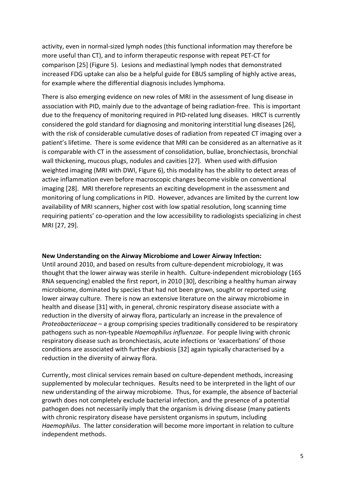activity, even in normal-sized lymph nodes (this functional information may therefore be more useful than CT), and to inform therapeutic response with repeat PET-CT for comparison [25] (Figure 5). Lesions and mediastinal lymph nodes that demonstrated increased FDG uptake can also be a helpful guide for EBUS sampling of highly active areas, for example where the differential diagnosis includes lymphoma.

There is also emerging evidence on new roles of MRI in the assessment of lung disease in association with PID, mainly due to the advantage of being radiation-free. This is important due to the frequency of monitoring required in PID-related lung diseases. HRCT is currently considered the gold standard for diagnosing and monitoring interstitial lung diseases [26], with the risk of considerable cumulative doses of radiation from repeated CT imaging over a patient's lifetime. There is some evidence that MRI can be considered as an alternative as it is comparable with CT in the assessment of consolidation, bullae, bronchiectasis, bronchial wall thickening, mucous plugs, nodules and cavities [27]. When used with diffusion weighted imaging (MRI with DWI, Figure 6), this modality has the ability to detect areas of active inflammation even before macroscopic changes become visible on conventional imaging [28]. MRI therefore represents an exciting development in the assessment and monitoring of lung complications in PID. However, advances are limited by the current low availability of MRI scanners, higher cost with low spatial resolution, long scanning time requiring patients' co-operation and the low accessibility to radiologists specializing in chest MRI [27, 29].

### **New Understanding on the Airway Microbiome and Lower Airway Infection:**

Until around 2010, and based on results from culture-dependent microbiology, it was thought that the lower airway was sterile in health. Culture-independent microbiology (16S RNA sequencing) enabled the first report, in 2010 [30], describing a healthy human airway microbiome, dominated by species that had not been grown, sought or reported using lower airway culture. There is now an extensive literature on the airway microbiome in health and disease [31] with, in general, chronic respiratory disease associate with a reduction in the diversity of airway flora, particularly an increase in the prevalence of *Proteobacteriaceae* – a group comprising species traditionally considered to be respiratory pathogens such as non-typeable *Haemophilus influenzae*. For people living with chronic respiratory disease such as bronchiectasis, acute infections or 'exacerbations' of those conditions are associated with further dysbiosis [32] again typically characterised by a reduction in the diversity of airway flora.

Currently, most clinical services remain based on culture-dependent methods, increasing supplemented by molecular techniques. Results need to be interpreted in the light of our new understanding of the airway microbiome. Thus, for example, the absence of bacterial growth does not completely exclude bacterial infection, and the presence of a potential pathogen does not necessarily imply that the organism is driving disease (many patients with chronic respiratory disease have persistent organisms in sputum, including *Haemophilus*. The latter consideration will become more important in relation to culture independent methods.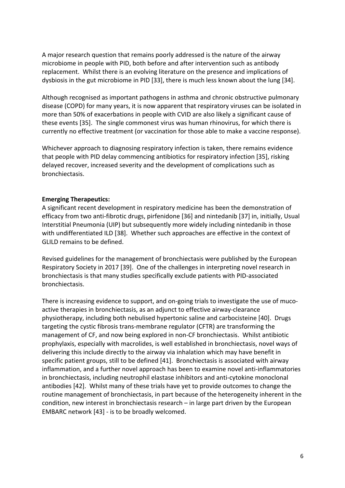A major research question that remains poorly addressed is the nature of the airway microbiome in people with PID, both before and after intervention such as antibody replacement. Whilst there is an evolving literature on the presence and implications of dysbiosis in the gut microbiome in PID [33], there is much less known about the lung [34].

Although recognised as important pathogens in asthma and chronic obstructive pulmonary disease (COPD) for many years, it is now apparent that respiratory viruses can be isolated in more than 50% of exacerbations in people with CVID are also likely a significant cause of these events [35]. The single commonest virus was human rhinovirus, for which there is currently no effective treatment (or vaccination for those able to make a vaccine response).

Whichever approach to diagnosing respiratory infection is taken, there remains evidence that people with PID delay commencing antibiotics for respiratory infection [35], risking delayed recover, increased severity and the development of complications such as bronchiectasis.

### **Emerging Therapeutics:**

A significant recent development in respiratory medicine has been the demonstration of efficacy from two anti-fibrotic drugs, pirfenidone [36] and nintedanib [37] in, initially, Usual Interstitial Pneumonia (UIP) but subsequently more widely including nintedanib in those with undifferentiated ILD [38]. Whether such approaches are effective in the context of GLILD remains to be defined.

Revised guidelines for the management of bronchiectasis were published by the European Respiratory Society in 2017 [39]. One of the challenges in interpreting novel research in bronchiectasis is that many studies specifically exclude patients with PID-associated bronchiectasis.

There is increasing evidence to support, and on-going trials to investigate the use of mucoactive therapies in bronchiectasis, as an adjunct to effective airway-clearance physiotherapy, including both nebulised hypertonic saline and carbocisteine [40]. Drugs targeting the cystic fibrosis trans-membrane regulator (CFTR) are transforming the management of CF, and now being explored in non-CF bronchiectasis. Whilst antibiotic prophylaxis, especially with macrolides, is well established in bronchiectasis, novel ways of delivering this include directly to the airway via inhalation which may have benefit in specific patient groups, still to be defined [41]. Bronchiectasis is associated with airway inflammation, and a further novel approach has been to examine novel anti-inflammatories in bronchiectasis, including neutrophil elastase inhibitors and anti-cytokine monoclonal antibodies [42]. Whilst many of these trials have yet to provide outcomes to change the routine management of bronchiectasis, in part because of the heterogeneity inherent in the condition, new interest in bronchiectasis research – in large part driven by the European EMBARC network [43] - is to be broadly welcomed.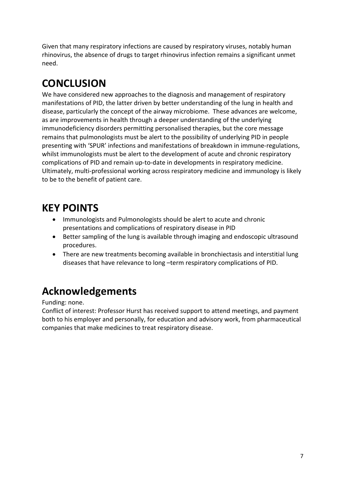Given that many respiratory infections are caused by respiratory viruses, notably human rhinovirus, the absence of drugs to target rhinovirus infection remains a significant unmet need.

# **CONCLUSION**

We have considered new approaches to the diagnosis and management of respiratory manifestations of PID, the latter driven by better understanding of the lung in health and disease, particularly the concept of the airway microbiome. These advances are welcome, as are improvements in health through a deeper understanding of the underlying immunodeficiency disorders permitting personalised therapies, but the core message remains that pulmonologists must be alert to the possibility of underlying PID in people presenting with 'SPUR' infections and manifestations of breakdown in immune-regulations, whilst immunologists must be alert to the development of acute and chronic respiratory complications of PID and remain up-to-date in developments in respiratory medicine. Ultimately, multi-professional working across respiratory medicine and immunology is likely to be to the benefit of patient care.

### **KEY POINTS**

- Immunologists and Pulmonologists should be alert to acute and chronic presentations and complications of respiratory disease in PID
- Better sampling of the lung is available through imaging and endoscopic ultrasound procedures.
- There are new treatments becoming available in bronchiectasis and interstitial lung diseases that have relevance to long –term respiratory complications of PID.

# **Acknowledgements**

Funding: none.

Conflict of interest: Professor Hurst has received support to attend meetings, and payment both to his employer and personally, for education and advisory work, from pharmaceutical companies that make medicines to treat respiratory disease.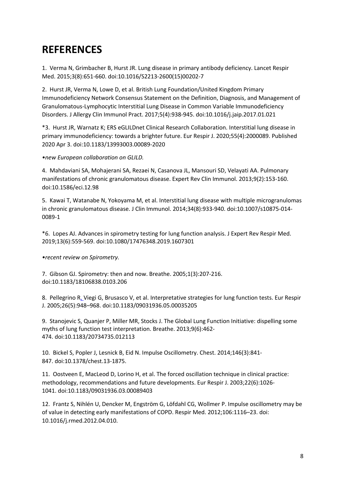### **REFERENCES**

1. Verma N, Grimbacher B, Hurst JR. Lung disease in primary antibody deficiency. Lancet Respir Med. 2015;3(8):651-660. doi:10.1016/S2213-2600(15)00202-7

2. Hurst JR, Verma N, Lowe D, et al. British Lung Foundation/United Kingdom Primary Immunodeficiency Network Consensus Statement on the Definition, Diagnosis, and Management of Granulomatous-Lymphocytic Interstitial Lung Disease in Common Variable Immunodeficiency Disorders. J Allergy Clin Immunol Pract. 2017;5(4):938-945. doi:10.1016/j.jaip.2017.01.021

\*3. Hurst JR, Warnatz K; ERS eGLILDnet Clinical Research Collaboration. Interstitial lung disease in primary immunodeficiency: towards a brighter future. Eur Respir J. 2020;55(4):2000089. Published 2020 Apr 3. doi:10.1183/13993003.00089-2020

*•new European collaboration on GLILD.*

4. Mahdaviani SA, Mohajerani SA, Rezaei N, Casanova JL, Mansouri SD, Velayati AA. Pulmonary manifestations of chronic granulomatous disease. Expert Rev Clin Immunol. 2013;9(2):153-160. doi:10.1586/eci.12.98

5. Kawai T, Watanabe N, Yokoyama M, et al. Interstitial lung disease with multiple microgranulomas in chronic granulomatous disease. J Clin Immunol. 2014;34(8):933-940. doi:10.1007/s10875-014- 0089-1

\*6. Lopes AJ. Advances in spirometry testing for lung function analysis. J Expert Rev Respir Med. 2019;13(6):559-569. doi:10.1080/17476348.2019.1607301

*•recent review on Spirometry.*

7. Gibson GJ. Spirometry: then and now. Breathe. 2005;1(3):207-216. doi:10.1183/18106838.0103.206

8. Pellegrino R, Viegi G, Brusasco V, et al. Interpretative strategies for lung function tests. Eur Respir J. 2005;26(5):948–968. doi:10.1183/09031936.05.00035205

9. Stanojevic S, Quanjer P, Miller MR, Stocks J. The Global Lung Function Initiative: dispelling some myths of lung function test interpretation. Breathe. 2013;9(6):462- 474. doi:10.1183/20734735.012113

10. Bickel S, Popler J, Lesnick B, Eid N. Impulse Oscillometry. Chest. 2014;146(3):841- 847. doi:10.1378/chest.13-1875.

11. Oostveen E, MacLeod D, Lorino H, et al. The forced oscillation technique in clinical practice: methodology, recommendations and future developments. Eur Respir J. 2003;22(6):1026- 1041. doi:10.1183/09031936.03.00089403

12. Frantz S, Nihlén U, Dencker M, Engström G, Löfdahl CG, Wollmer P. Impulse oscillometry may be of value in detecting early manifestations of COPD. Respir Med. 2012;106:1116–23. doi: 10.1016/j.rmed.2012.04.010.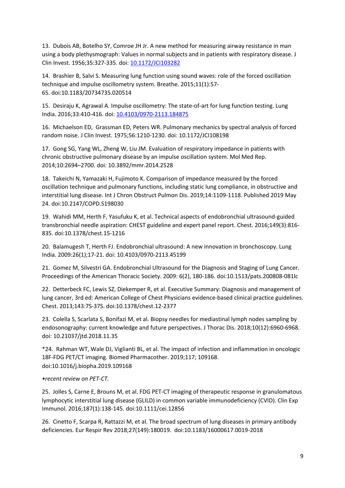13. Dubois AB, Botelho SY, Comroe JH Jr. A new method for measuring airway resistance in man using a body plethysmograph: Values in normal subjects and in patients with respiratory disease. J Clin Invest. 1956;35:327-335. doi: 10.1172/JCI103282

14. Brashier B, Salvi S. Measuring lung function using sound waves: role of the forced oscillation technique and impulse oscillometry system. Breathe. 2015;11(1):57- 65. doi:10.1183/20734735.020514

15. Desiraju K, Agrawal A. Impulse oscillometry: The state-of-art for lung function testing. Lung India. 2016;33:410-416. doi: 10.4103/0970-2113.184875

16. Michaelson ED, Grassman ED, Peters WR. Pulmonary mechanics by spectral analysis of forced random noise. J Clin Invest. 1975;56:1210-1230. doi: 10.1172/JCI108198

17. Gong SG, Yang WL, Zheng W, Liu JM. Evaluation of respiratory impedance in patients with chronic obstructive pulmonary disease by an impulse oscillation system. Mol Med Rep. 2014;10:2694–2700. doi: 10.3892/mmr.2014.2528

18. Takeichi N, Yamazaki H, Fujimoto K. Comparison of impedance measured by the forced oscillation technique and pulmonary functions, including static lung compliance, in obstructive and interstitial lung disease. Int J Chron Obstruct Pulmon Dis. 2019;14:1109-1118. Published 2019 May 24. doi:10.2147/COPD.S198030

19. Wahidi MM, Herth F, Yasufuku K, et al. Technical aspects of endobronchial ultrasound-guided transbronchial needle aspiration: CHEST guideline and expert panel report. Chest. 2016;149(3):816- 835. doi:10.1378/chest.15-1216

20. Balamugesh T, Herth FJ. Endobronchial ultrasound: A new innovation in bronchoscopy. Lung India. 2009:26(1);17-21. doi: 10.4103/0970-2113.45199

21. Gomez M, Silvestri GA. Endobronchial Ultrasound for the Diagnosis and Staging of Lung Cancer. Proceedings of the American Thoracic Society. 2009: 6(2), 180-186. doi:10.1513/pats.200808-081lc

22. Detterbeck FC, Lewis SZ, Diekemper R, et al. Executive Summary: Diagnosis and management of lung cancer, 3rd ed: American College of Chest Physicians evidence-based clinical practice guidelines. Chest. 2013;143:7S-37S. doi:10.1378/chest.12-2377

23. Colella S, Scarlata S, Bonifazi M, et al. Biopsy needles for mediastinal lymph nodes sampling by endosonography: current knowledge and future perspectives. J Thorac Dis. 2018;10(12):6960-6968. doi: 10.21037/jtd.2018.11.35

\*24. Rahman WT, Wale DJ, Viglianti BL, et al. The impact of infection and inflammation in oncologic 18F-FDG PET/CT imaging. Biomed Pharmacother. 2019;117; 109168. doi:10.1016/j.biopha.2019.109168

#### *•recent review on PET-CT.*

25. Jolles S, Carne E, Brouns M, et al. FDG PET-CT imaging of therapeutic response in granulomatous lymphocytic interstitial lung disease (GLILD) in common variable immunodeficiency (CVID). Clin Exp Immunol. 2016;187(1):138-145. doi:10.1111/cei.12856

26. Cinetto F, Scarpa R, Rattazzi M, et al. The broad spectrum of lung diseases in primary antibody deficiencies. Eur Respir Rev 2018;27(149):180019. doi:10.1183/16000617.0019-2018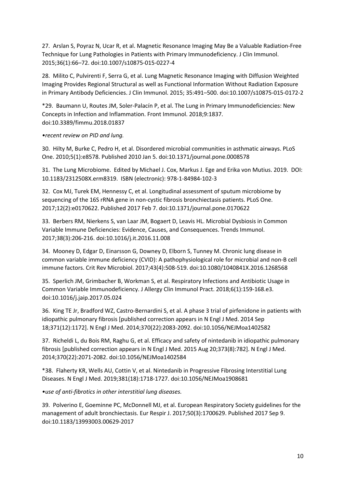27. Arslan S, Poyraz N, Ucar R, et al. Magnetic Resonance Imaging May Be a Valuable Radiation-Free Technique for Lung Pathologies in Patients with Primary Immunodeficiency. J Clin Immunol. 2015;36(1):66–72. doi:10.1007/s10875-015-0227-4

28. Milito C, Pulvirenti F, Serra G, et al. Lung Magnetic Resonance Imaging with Diffusion Weighted Imaging Provides Regional Structural as well as Functional Information Without Radiation Exposure in Primary Antibody Deficiencies. J Clin Immunol. 2015; 35:491–500. doi:10.1007/s10875-015-0172-2

\*29. Baumann U, Routes JM, Soler-Palacín P, et al. The Lung in Primary Immunodeficiencies: New Concepts in Infection and Inflammation. Front Immunol. 2018;9:1837. doi:10.3389/fimmu.2018.01837

*•recent review on PID and lung.*

30. Hilty M, Burke C, Pedro H, et al. Disordered microbial communities in asthmatic airways. PLoS One. 2010;5(1):e8578. Published 2010 Jan 5. doi:10.1371/journal.pone.0008578

31. The Lung Microbiome. Edited by Michael J. Cox, Markus J. Ege and Erika von Mutius. 2019. DOI: 10.1183/2312508X.erm8319. ISBN (electronic): 978-1-84984-102-3

32. Cox MJ, Turek EM, Hennessy C, et al. Longitudinal assessment of sputum microbiome by sequencing of the 16S rRNA gene in non-cystic fibrosis bronchiectasis patients. PLoS One. 2017;12(2):e0170622. Published 2017 Feb 7. doi:10.1371/journal.pone.0170622

33. Berbers RM, Nierkens S, van Laar JM, Bogaert D, Leavis HL. Microbial Dysbiosis in Common Variable Immune Deficiencies: Evidence, Causes, and Consequences. Trends Immunol. 2017;38(3):206-216. doi:10.1016/j.it.2016.11.008

34. Mooney D, Edgar D, Einarsson G, Downey D, Elborn S, Tunney M. Chronic lung disease in common variable immune deficiency (CVID): A pathophysiological role for microbial and non-B cell immune factors. Crit Rev Microbiol. 2017;43(4):508-519. doi:10.1080/1040841X.2016.1268568

35. Sperlich JM, Grimbacher B, Workman S, et al. Respiratory Infections and Antibiotic Usage in Common Variable Immunodeficiency. J Allergy Clin Immunol Pract. 2018;6(1):159-168.e3. doi:10.1016/j.jaip.2017.05.024

36. King TE Jr, Bradford WZ, Castro-Bernardini S, et al. A phase 3 trial of pirfenidone in patients with idiopathic pulmonary fibrosis [published correction appears in N Engl J Med. 2014 Sep 18;371(12):1172]. N Engl J Med. 2014;370(22):2083-2092. doi:10.1056/NEJMoa1402582

37. Richeldi L, du Bois RM, Raghu G, et al. Efficacy and safety of nintedanib in idiopathic pulmonary fibrosis [published correction appears in N Engl J Med. 2015 Aug 20;373(8):782]. N Engl J Med. 2014;370(22):2071-2082. doi:10.1056/NEJMoa1402584

\*38. Flaherty KR, Wells AU, Cottin V, et al. Nintedanib in Progressive Fibrosing Interstitial Lung Diseases. N Engl J Med. 2019;381(18):1718-1727. doi:10.1056/NEJMoa1908681

*•use of anti-fibrotics in other interstitial lung diseases.*

39. Polverino E, Goeminne PC, McDonnell MJ, et al. European Respiratory Society guidelines for the management of adult bronchiectasis. Eur Respir J. 2017;50(3):1700629. Published 2017 Sep 9. doi:10.1183/13993003.00629-2017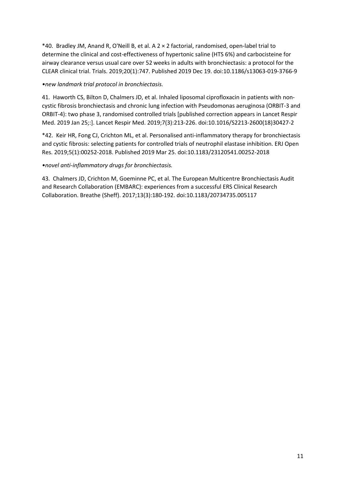\*40. Bradley JM, Anand R, O'Neill B, et al. A 2 × 2 factorial, randomised, open-label trial to determine the clinical and cost-effectiveness of hypertonic saline (HTS 6%) and carbocisteine for airway clearance versus usual care over 52 weeks in adults with bronchiectasis: a protocol for the CLEAR clinical trial. Trials. 2019;20(1):747. Published 2019 Dec 19. doi:10.1186/s13063-019-3766-9

### *•new landmark trial protocol in bronchiectasis.*

41. Haworth CS, Bilton D, Chalmers JD, et al. Inhaled liposomal ciprofloxacin in patients with noncystic fibrosis bronchiectasis and chronic lung infection with Pseudomonas aeruginosa (ORBIT-3 and ORBIT-4): two phase 3, randomised controlled trials [published correction appears in Lancet Respir Med. 2019 Jan 25;:]. Lancet Respir Med. 2019;7(3):213-226. doi:10.1016/S2213-2600(18)30427-2

\*42. Keir HR, Fong CJ, Crichton ML, et al. Personalised anti-inflammatory therapy for bronchiectasis and cystic fibrosis: selecting patients for controlled trials of neutrophil elastase inhibition. ERJ Open Res. 2019;5(1):00252-2018. Published 2019 Mar 25. doi:10.1183/23120541.00252-2018

### *•novel anti-inflammatory drugs for bronchiectasis.*

43. Chalmers JD, Crichton M, Goeminne PC, et al. The European Multicentre Bronchiectasis Audit and Research Collaboration (EMBARC): experiences from a successful ERS Clinical Research Collaboration. Breathe (Sheff). 2017;13(3):180-192. doi:10.1183/20734735.005117